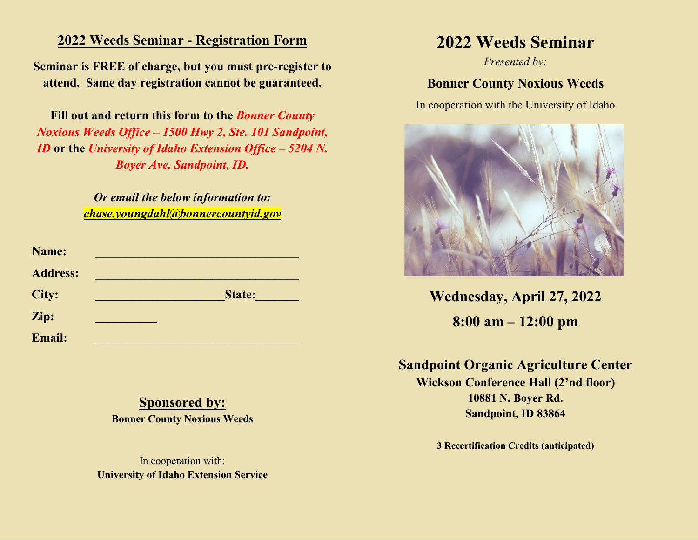#### **2022 Weeds Seminar - Registration Form**

**Seminar is FREE of charge, but you must pre-register to attend. Same day registration cannot be guaranteed.** 

**Fill out and return this form to the** *Bonner County Noxious Weeds Office – 1500 Hwy 2, Ste. 101 Sandpoint, ID* **or the** *University of Idaho Extension Office – 5204 N. Boyer Ave. Sandpoint, ID.*

> *Or email the below information to: chase.youngdahl@bonnercountyid.gov*

| Name:           |               |
|-----------------|---------------|
| <b>Address:</b> |               |
| City:           | <b>State:</b> |
| Zip:            |               |
| <b>Email:</b>   |               |

### **Sponsored by:**

**Bonner County Noxious Weeds**

In cooperation with: **University of Idaho Extension Service**

# **2022 Weeds Seminar**

*Presented by:*

### **Bonner County Noxious Weeds**

In cooperation with the University of Idaho



**Wednesday, April 27, 2022 8:00 am – 12:00 pm**

**Sandpoint Organic Agriculture Center Wickson Conference Hall (2'nd floor) 10881 N. Boyer Rd. Sandpoint, ID 83864**

**3 Recertification Credits (anticipated)**